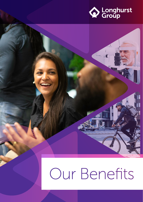

## Our Benefits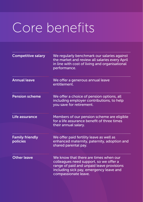## Core benefits

| <b>Competitive salary</b>          | We regularly benchmark our salaries against<br>the market and review all salaries every April<br>in line with cost of living and organisational<br>performance.                                 |
|------------------------------------|-------------------------------------------------------------------------------------------------------------------------------------------------------------------------------------------------|
| <b>Annual leave</b>                | We offer a generous annual leave<br>entitlement.                                                                                                                                                |
| <b>Pension scheme</b>              | We offer a choice of pension options, all<br>including employer contributions, to help<br>you save for retirement.                                                                              |
| Life assurance                     | Members of our pension scheme are eligible<br>for a life assurance benefit of three times<br>their annual salary.                                                                               |
| <b>Family friendly</b><br>policies | We offer paid fertility leave as well as<br>enhanced maternity, paternity, adoption and<br>shared parental pay.                                                                                 |
| <b>Other leave</b>                 | We know that there are times when our<br>colleagues need support, so we offer a<br>range of paid and unpaid leave provisions<br>including sick pay, emergency leave and<br>compassionate leave. |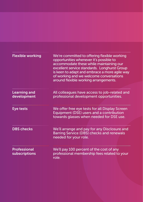| <b>Flexible working</b>              | We're committed to offering flexible working<br>opportunities whenever it's possible to<br>accommodate these while maintaining our<br>excellent service standards. Longhurst Group<br>is keen to adapt and embrace a more agile way<br>of working and we welcome conversations<br>around flexible working arrangements. |
|--------------------------------------|-------------------------------------------------------------------------------------------------------------------------------------------------------------------------------------------------------------------------------------------------------------------------------------------------------------------------|
| <b>Learning and</b><br>development   | All colleagues have access to job-related and<br>professional development opportunities.                                                                                                                                                                                                                                |
| Eye tests                            | We offer free eye tests for all Display Screen<br>Equipment (DSE) users and a contribution<br>towards glasses when needed for DSE use.                                                                                                                                                                                  |
| <b>DBS checks</b>                    | We'll arrange and pay for any Disclosure and<br>Barring Service (DBS) checks and renewals<br>needed for your role.                                                                                                                                                                                                      |
| <b>Professional</b><br>subscriptions | We'll pay 100 percent of the cost of any<br>professional membership fees related to your<br>role.                                                                                                                                                                                                                       |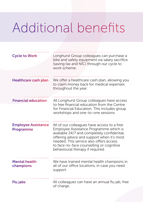## Additional benefits

| <b>Cycle to Work</b>                           | Longhurst Group colleagues can purchase a<br>bike and safety equipment via salary sacrifice<br>(saving tax and NIC) through our cycle to<br>work scheme.                                                                                                                                                      |
|------------------------------------------------|---------------------------------------------------------------------------------------------------------------------------------------------------------------------------------------------------------------------------------------------------------------------------------------------------------------|
| <b>Healthcare cash plan</b>                    | We offer a healthcare cash plan, allowing you<br>to claim money back for medical expenses<br>throughout the year.                                                                                                                                                                                             |
| <b>Financial education</b>                     | All Longhurst Group colleagues have access<br>to free financial education from the Centre<br>for Financial Education. This includes group<br>workshops and one-to-one sessions.                                                                                                                               |
| <b>Employee Assistance</b><br><b>Programme</b> | All of our colleagues have access to a free<br>Employee Assistance Programme which is<br>available 24/7 and completely confidential,<br>offering advice and support when it's most<br>needed. This service also offers access<br>to face-to-face counselling or cognitive<br>behavioural therapy if required. |
| <b>Mental health</b><br>champions              | We have trained mental health champions in<br>all of our office locations, in case you need<br>support.                                                                                                                                                                                                       |
| Flu jabs                                       | All colleagues can have an annual flu jab, free<br>of charge.                                                                                                                                                                                                                                                 |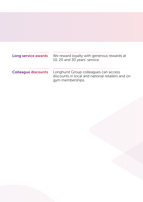| Long service awards        | We reward loyalty with generous rewards at<br>10, 20 and 30 years' service.                                   |
|----------------------------|---------------------------------------------------------------------------------------------------------------|
| <b>Colleague discounts</b> | Longhurst Group colleagues can access<br>discounts in local and national retailers and on<br>gym memberships. |